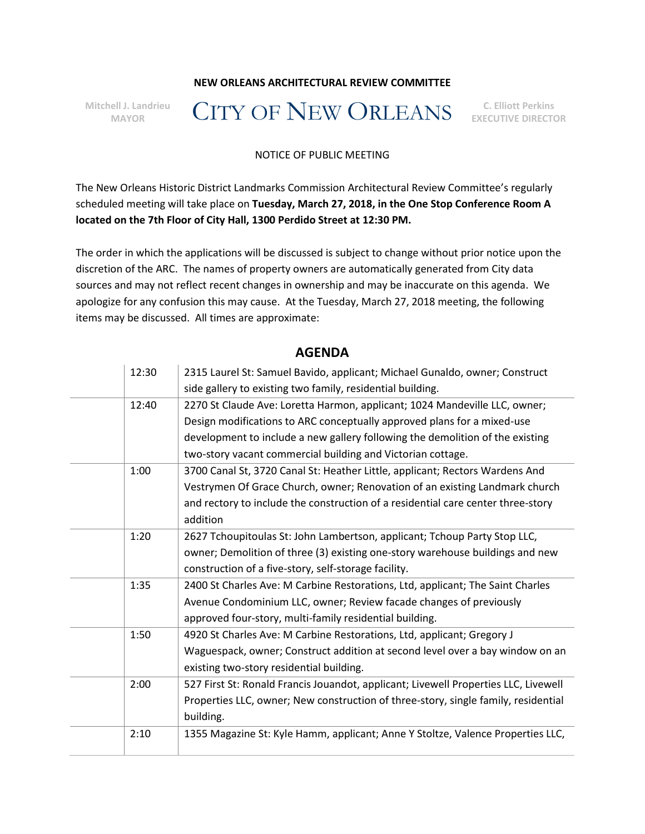## **NEW ORLEANS ARCHITECTURAL REVIEW COMMITTEE**

**Mitchell J. Landrieu**

**MAYOR** CITY OF NEW ORLEANS **C. Elliott Perkins EXECUTIVE DIRECTOR**

## NOTICE OF PUBLIC MEETING

The New Orleans Historic District Landmarks Commission Architectural Review Committee's regularly scheduled meeting will take place on **Tuesday, March 27, 2018, in the One Stop Conference Room A located on the 7th Floor of City Hall, 1300 Perdido Street at 12:30 PM.** 

The order in which the applications will be discussed is subject to change without prior notice upon the discretion of the ARC. The names of property owners are automatically generated from City data sources and may not reflect recent changes in ownership and may be inaccurate on this agenda. We apologize for any confusion this may cause. At the Tuesday, March 27, 2018 meeting, the following items may be discussed. All times are approximate:

| 12:30 | 2315 Laurel St: Samuel Bavido, applicant; Michael Gunaldo, owner; Construct         |
|-------|-------------------------------------------------------------------------------------|
|       | side gallery to existing two family, residential building.                          |
| 12:40 | 2270 St Claude Ave: Loretta Harmon, applicant; 1024 Mandeville LLC, owner;          |
|       | Design modifications to ARC conceptually approved plans for a mixed-use             |
|       | development to include a new gallery following the demolition of the existing       |
|       | two-story vacant commercial building and Victorian cottage.                         |
| 1:00  | 3700 Canal St, 3720 Canal St: Heather Little, applicant; Rectors Wardens And        |
|       | Vestrymen Of Grace Church, owner; Renovation of an existing Landmark church         |
|       | and rectory to include the construction of a residential care center three-story    |
|       | addition                                                                            |
| 1:20  | 2627 Tchoupitoulas St: John Lambertson, applicant; Tchoup Party Stop LLC,           |
|       | owner; Demolition of three (3) existing one-story warehouse buildings and new       |
|       | construction of a five-story, self-storage facility.                                |
| 1:35  | 2400 St Charles Ave: M Carbine Restorations, Ltd, applicant; The Saint Charles      |
|       | Avenue Condominium LLC, owner; Review facade changes of previously                  |
|       | approved four-story, multi-family residential building.                             |
| 1:50  | 4920 St Charles Ave: M Carbine Restorations, Ltd, applicant; Gregory J              |
|       | Waguespack, owner; Construct addition at second level over a bay window on an       |
|       | existing two-story residential building.                                            |
| 2:00  | 527 First St: Ronald Francis Jouandot, applicant; Livewell Properties LLC, Livewell |
|       | Properties LLC, owner; New construction of three-story, single family, residential  |
|       | building.                                                                           |
| 2:10  | 1355 Magazine St: Kyle Hamm, applicant; Anne Y Stoltze, Valence Properties LLC,     |
|       |                                                                                     |

## **AGENDA**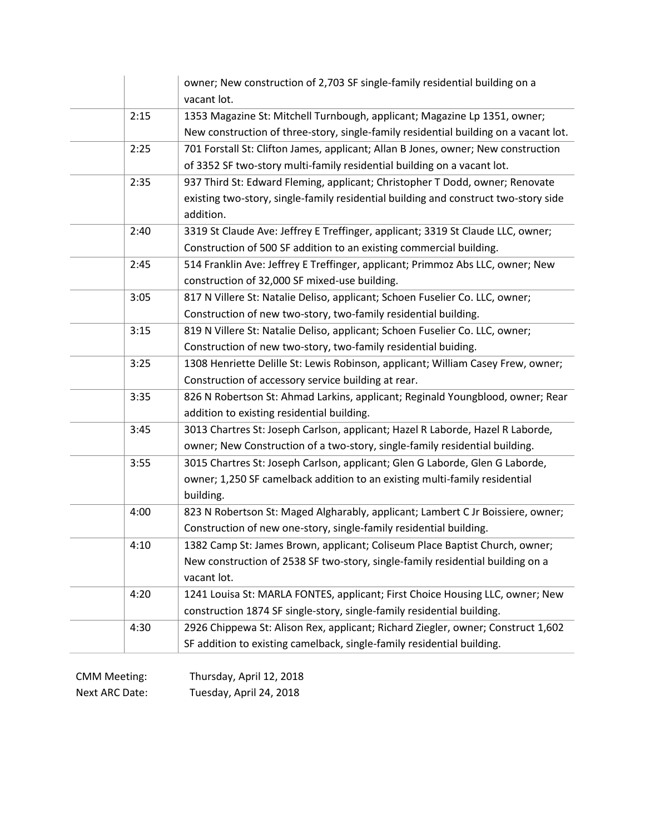|      | owner; New construction of 2,703 SF single-family residential building on a          |
|------|--------------------------------------------------------------------------------------|
|      | vacant lot.                                                                          |
| 2:15 | 1353 Magazine St: Mitchell Turnbough, applicant; Magazine Lp 1351, owner;            |
|      | New construction of three-story, single-family residential building on a vacant lot. |
| 2:25 | 701 Forstall St: Clifton James, applicant; Allan B Jones, owner; New construction    |
|      | of 3352 SF two-story multi-family residential building on a vacant lot.              |
| 2:35 | 937 Third St: Edward Fleming, applicant; Christopher T Dodd, owner; Renovate         |
|      | existing two-story, single-family residential building and construct two-story side  |
|      | addition.                                                                            |
| 2:40 | 3319 St Claude Ave: Jeffrey E Treffinger, applicant; 3319 St Claude LLC, owner;      |
|      | Construction of 500 SF addition to an existing commercial building.                  |
| 2:45 | 514 Franklin Ave: Jeffrey E Treffinger, applicant; Primmoz Abs LLC, owner; New       |
|      | construction of 32,000 SF mixed-use building.                                        |
| 3:05 | 817 N Villere St: Natalie Deliso, applicant; Schoen Fuselier Co. LLC, owner;         |
|      | Construction of new two-story, two-family residential building.                      |
| 3:15 | 819 N Villere St: Natalie Deliso, applicant; Schoen Fuselier Co. LLC, owner;         |
|      | Construction of new two-story, two-family residential buiding.                       |
| 3:25 | 1308 Henriette Delille St: Lewis Robinson, applicant; William Casey Frew, owner;     |
|      | Construction of accessory service building at rear.                                  |
| 3:35 | 826 N Robertson St: Ahmad Larkins, applicant; Reginald Youngblood, owner; Rear       |
|      | addition to existing residential building.                                           |
| 3:45 | 3013 Chartres St: Joseph Carlson, applicant; Hazel R Laborde, Hazel R Laborde,       |
|      | owner; New Construction of a two-story, single-family residential building.          |
| 3:55 | 3015 Chartres St: Joseph Carlson, applicant; Glen G Laborde, Glen G Laborde,         |
|      | owner; 1,250 SF camelback addition to an existing multi-family residential           |
|      | building.                                                                            |
| 4:00 | 823 N Robertson St: Maged Algharably, applicant; Lambert C Jr Boissiere, owner;      |
|      | Construction of new one-story, single-family residential building.                   |
| 4:10 | 1382 Camp St: James Brown, applicant; Coliseum Place Baptist Church, owner;          |
|      | New construction of 2538 SF two-story, single-family residential building on a       |
|      | vacant lot.                                                                          |
| 4:20 | 1241 Louisa St: MARLA FONTES, applicant; First Choice Housing LLC, owner; New        |
|      | construction 1874 SF single-story, single-family residential building.               |
| 4:30 | 2926 Chippewa St: Alison Rex, applicant; Richard Ziegler, owner; Construct 1,602     |
|      | SF addition to existing camelback, single-family residential building.               |
|      |                                                                                      |

CMM Meeting: Thursday, April 12, 2018 Next ARC Date: Tuesday, April 24, 2018